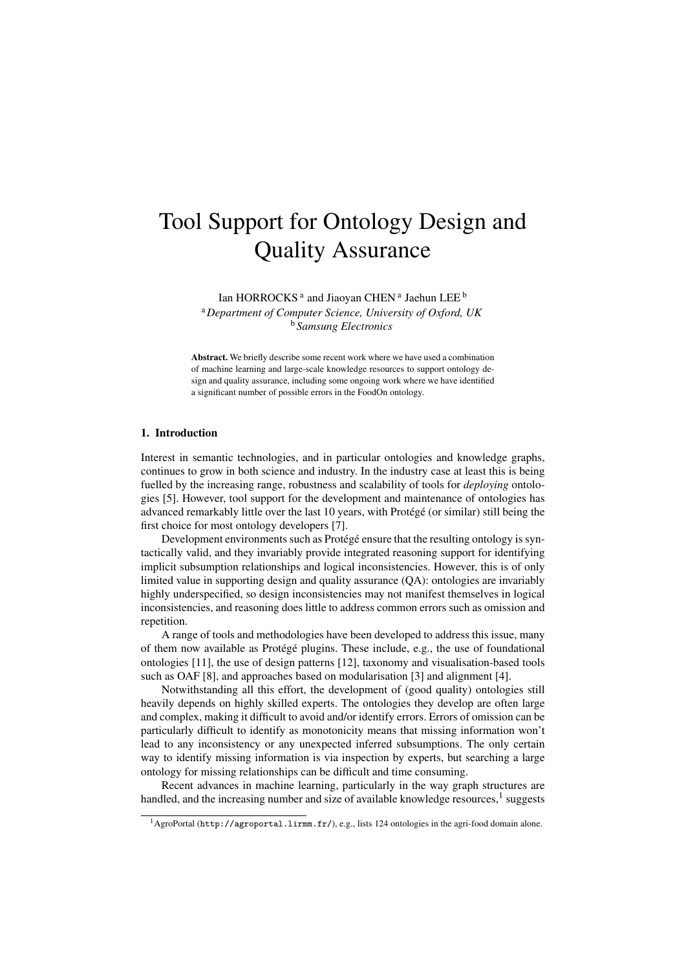# Tool Support for Ontology Design and Quality Assurance

Ian HORROCKS<sup>a</sup> and Jiaoyan CHEN<sup>a</sup> Jaehun LEE <sup>b</sup>

<sup>a</sup>*Department of Computer Science, University of Oxford, UK* <sup>b</sup> *Samsung Electronics*

Abstract. We briefly describe some recent work where we have used a combination of machine learning and large-scale knowledge resources to support ontology design and quality assurance, including some ongoing work where we have identified a significant number of possible errors in the FoodOn ontology.

# 1. Introduction

Interest in semantic technologies, and in particular ontologies and knowledge graphs, continues to grow in both science and industry. In the industry case at least this is being fuelled by the increasing range, robustness and scalability of tools for *deploying* ontologies [5]. However, tool support for the development and maintenance of ontologies has advanced remarkably little over the last 10 years, with Protégé (or similar) still being the first choice for most ontology developers [7].

Development environments such as Protégé ensure that the resulting ontology is syntactically valid, and they invariably provide integrated reasoning support for identifying implicit subsumption relationships and logical inconsistencies. However, this is of only limited value in supporting design and quality assurance (QA): ontologies are invariably highly underspecified, so design inconsistencies may not manifest themselves in logical inconsistencies, and reasoning does little to address common errors such as omission and repetition.

A range of tools and methodologies have been developed to address this issue, many of them now available as Protégé plugins. These include, e.g., the use of foundational ontologies [11], the use of design patterns [12], taxonomy and visualisation-based tools such as OAF [8], and approaches based on modularisation [3] and alignment [4].

Notwithstanding all this effort, the development of (good quality) ontologies still heavily depends on highly skilled experts. The ontologies they develop are often large and complex, making it difficult to avoid and/or identify errors. Errors of omission can be particularly difficult to identify as monotonicity means that missing information won't lead to any inconsistency or any unexpected inferred subsumptions. The only certain way to identify missing information is via inspection by experts, but searching a large ontology for missing relationships can be difficult and time consuming.

Recent advances in machine learning, particularly in the way graph structures are handled, and the increasing number and size of available knowledge resources, $<sup>1</sup>$  suggests</sup>

<sup>&</sup>lt;sup>1</sup> AgroPortal (http://agroportal.lirmm.fr/), e.g., lists 124 ontologies in the agri-food domain alone.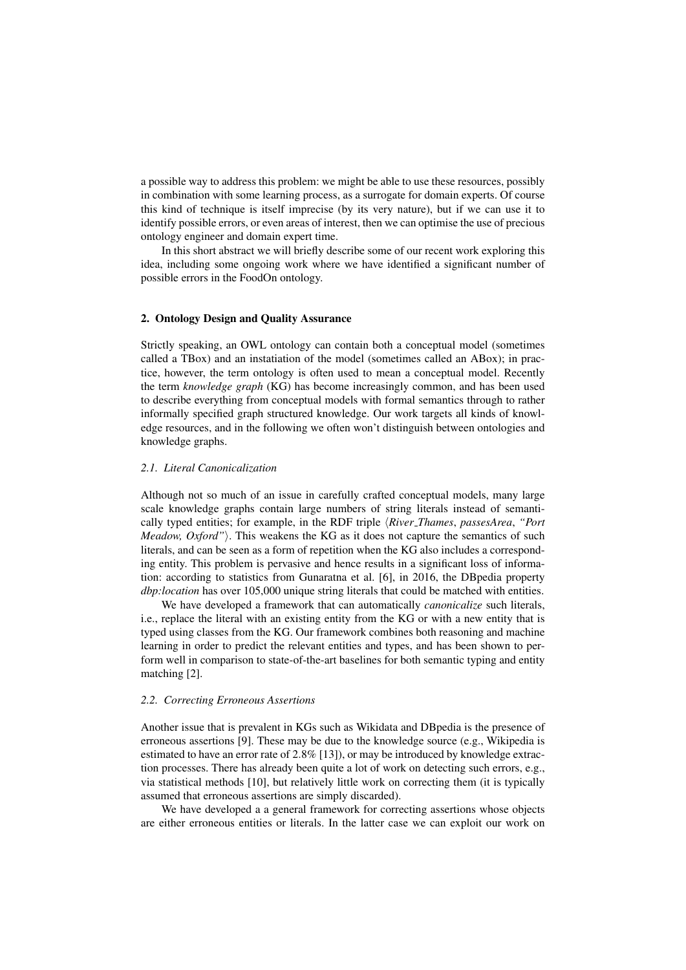a possible way to address this problem: we might be able to use these resources, possibly in combination with some learning process, as a surrogate for domain experts. Of course this kind of technique is itself imprecise (by its very nature), but if we can use it to identify possible errors, or even areas of interest, then we can optimise the use of precious ontology engineer and domain expert time.

In this short abstract we will briefly describe some of our recent work exploring this idea, including some ongoing work where we have identified a significant number of possible errors in the FoodOn ontology.

## 2. Ontology Design and Quality Assurance

Strictly speaking, an OWL ontology can contain both a conceptual model (sometimes called a TBox) and an instatiation of the model (sometimes called an ABox); in practice, however, the term ontology is often used to mean a conceptual model. Recently the term *knowledge graph* (KG) has become increasingly common, and has been used to describe everything from conceptual models with formal semantics through to rather informally specified graph structured knowledge. Our work targets all kinds of knowledge resources, and in the following we often won't distinguish between ontologies and knowledge graphs.

#### *2.1. Literal Canonicalization*

Although not so much of an issue in carefully crafted conceptual models, many large scale knowledge graphs contain large numbers of string literals instead of semantically typed entities; for example, in the RDF triple  $\langle River\_Thomas, \textit{passesArea}, \textit{``Port} \rangle$ *Meadow, Oxford"*). This weakens the KG as it does not capture the semantics of such literals, and can be seen as a form of repetition when the KG also includes a corresponding entity. This problem is pervasive and hence results in a significant loss of information: according to statistics from Gunaratna et al. [6], in 2016, the DBpedia property *dbp:location* has over 105,000 unique string literals that could be matched with entities.

We have developed a framework that can automatically *canonicalize* such literals, i.e., replace the literal with an existing entity from the KG or with a new entity that is typed using classes from the KG. Our framework combines both reasoning and machine learning in order to predict the relevant entities and types, and has been shown to perform well in comparison to state-of-the-art baselines for both semantic typing and entity matching [2].

#### *2.2. Correcting Erroneous Assertions*

Another issue that is prevalent in KGs such as Wikidata and DBpedia is the presence of erroneous assertions [9]. These may be due to the knowledge source (e.g., Wikipedia is estimated to have an error rate of 2.8% [13]), or may be introduced by knowledge extraction processes. There has already been quite a lot of work on detecting such errors, e.g., via statistical methods [10], but relatively little work on correcting them (it is typically assumed that erroneous assertions are simply discarded).

We have developed a a general framework for correcting assertions whose objects are either erroneous entities or literals. In the latter case we can exploit our work on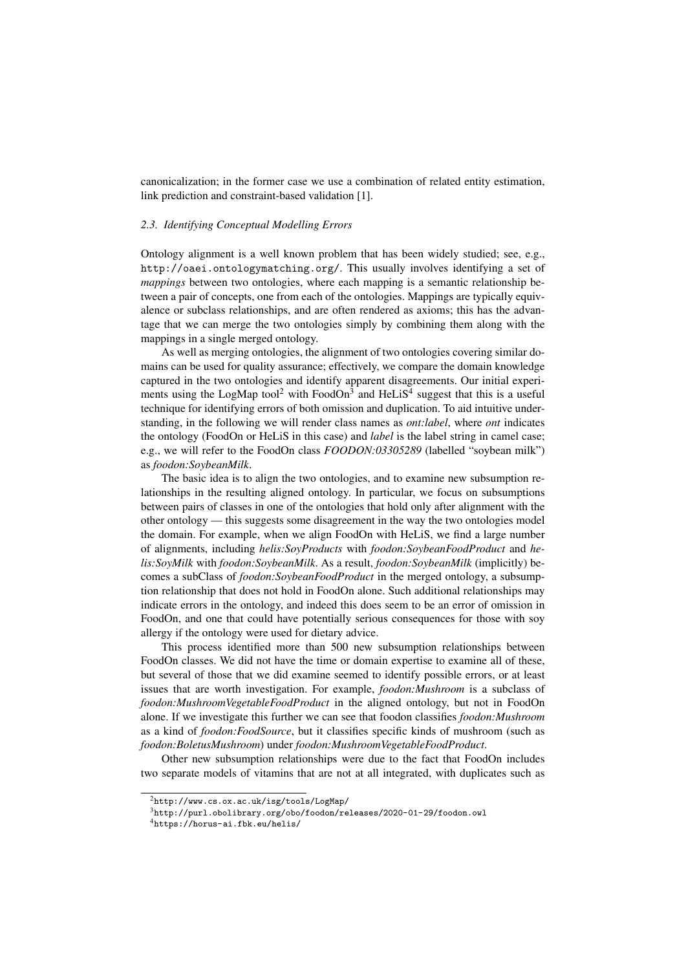canonicalization; in the former case we use a combination of related entity estimation, link prediction and constraint-based validation [1].

#### *2.3. Identifying Conceptual Modelling Errors*

Ontology alignment is a well known problem that has been widely studied; see, e.g., http://oaei.ontologymatching.org/. This usually involves identifying a set of *mappings* between two ontologies, where each mapping is a semantic relationship between a pair of concepts, one from each of the ontologies. Mappings are typically equivalence or subclass relationships, and are often rendered as axioms; this has the advantage that we can merge the two ontologies simply by combining them along with the mappings in a single merged ontology.

As well as merging ontologies, the alignment of two ontologies covering similar domains can be used for quality assurance; effectively, we compare the domain knowledge captured in the two ontologies and identify apparent disagreements. Our initial experiments using the LogMap tool<sup>2</sup> with FoodOn<sup>3</sup> and HeLiS<sup>4</sup> suggest that this is a useful technique for identifying errors of both omission and duplication. To aid intuitive understanding, in the following we will render class names as *ont:label*, where *ont* indicates the ontology (FoodOn or HeLiS in this case) and *label* is the label string in camel case; e.g., we will refer to the FoodOn class *FOODON:03305289* (labelled "soybean milk") as *foodon:SoybeanMilk*.

The basic idea is to align the two ontologies, and to examine new subsumption relationships in the resulting aligned ontology. In particular, we focus on subsumptions between pairs of classes in one of the ontologies that hold only after alignment with the other ontology — this suggests some disagreement in the way the two ontologies model the domain. For example, when we align FoodOn with HeLiS, we find a large number of alignments, including *helis:SoyProducts* with *foodon:SoybeanFoodProduct* and *helis:SoyMilk* with *foodon:SoybeanMilk*. As a result, *foodon:SoybeanMilk* (implicitly) becomes a subClass of *foodon:SoybeanFoodProduct* in the merged ontology, a subsumption relationship that does not hold in FoodOn alone. Such additional relationships may indicate errors in the ontology, and indeed this does seem to be an error of omission in FoodOn, and one that could have potentially serious consequences for those with soy allergy if the ontology were used for dietary advice.

This process identified more than 500 new subsumption relationships between FoodOn classes. We did not have the time or domain expertise to examine all of these, but several of those that we did examine seemed to identify possible errors, or at least issues that are worth investigation. For example, *foodon:Mushroom* is a subclass of *foodon:MushroomVegetableFoodProduct* in the aligned ontology, but not in FoodOn alone. If we investigate this further we can see that foodon classifies *foodon:Mushroom* as a kind of *foodon:FoodSource*, but it classifies specific kinds of mushroom (such as *foodon:BoletusMushroom*) under *foodon:MushroomVegetableFoodProduct*.

Other new subsumption relationships were due to the fact that FoodOn includes two separate models of vitamins that are not at all integrated, with duplicates such as

 $^{2}$ http://www.cs.ox.ac.uk/isg/tools/LogMap/

<sup>3</sup>http://purl.obolibrary.org/obo/foodon/releases/2020-01-29/foodon.owl

<sup>4</sup>https://horus-ai.fbk.eu/helis/